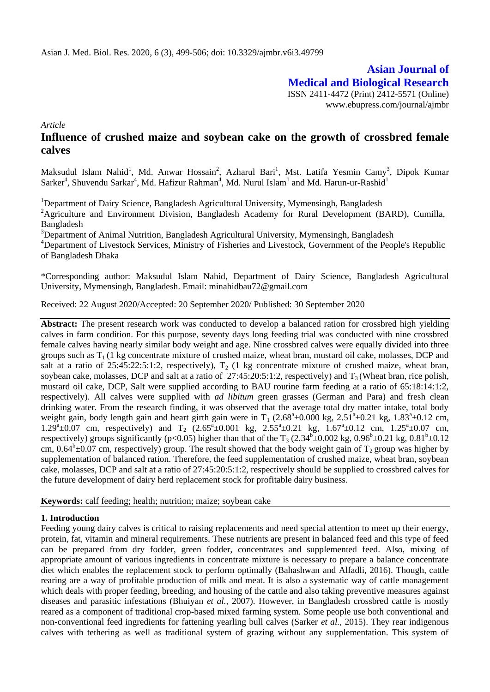**Asian Journal of Medical and Biological Research**

ISSN 2411-4472 (Print) 2412-5571 (Online) www.ebupress.com/journal/ajmbr

*Article*

# **Influence of crushed maize and soybean cake on the growth of crossbred female calves**

Maksudul Islam Nahid<sup>1</sup>, Md. Anwar Hossain<sup>2</sup>, Azharul Bari<sup>1</sup>, Mst. Latifa Yesmin Camy<sup>3</sup>, Dipok Kumar Sarker<sup>4</sup>, Shuvendu Sarkar<sup>4</sup>, Md. Hafizur Rahman<sup>4</sup>, Md. Nurul Islam<sup>1</sup> and Md. Harun-ur-Rashid<sup>1</sup>

<sup>1</sup>Department of Dairy Science, Bangladesh Agricultural University, Mymensingh, Bangladesh <sup>2</sup>Agriculture and Environment Division, Bangladesh Academy for Rural Development (BARD), Cumilla, Bangladesh

<sup>3</sup>Department of Animal Nutrition, Bangladesh Agricultural University, Mymensingh, Bangladesh <sup>4</sup>Department of Livestock Services, Ministry of Fisheries and Livestock, Government of the People's Republic of Bangladesh Dhaka

\*Corresponding author: Maksudul Islam Nahid, Department of Dairy Science, Bangladesh Agricultural University, Mymensingh, Bangladesh. Email: minahidbau72[@gmail.com](mailto:nahidbau28@gmail.com)

Received: 22 August 2020/Accepted: 20 September 2020/ Published: 30 September 2020

**Abstract:** The present research work was conducted to develop a balanced ration for crossbred high yielding calves in farm condition. For this purpose, seventy days long feeding trial was conducted with nine crossbred female calves having nearly similar body weight and age. Nine crossbred calves were equally divided into three groups such as  $T_1$  (1 kg concentrate mixture of crushed maize, wheat bran, mustard oil cake, molasses, DCP and salt at a ratio of 25:45:22:5:1:2, respectively),  $T_2$  (1 kg concentrate mixture of crushed maize, wheat bran, soybean cake, molasses, DCP and salt at a ratio of 27:45:20:5:1:2, respectively) and  $T_3$  (Wheat bran, rice polish, mustard oil cake, DCP, Salt were supplied according to BAU routine farm feeding at a ratio of 65:18:14:1:2, respectively). All calves were supplied with *ad libitum* green grasses (German and Para) and fresh clean drinking water. From the research finding, it was observed that the average total dry matter intake, total body weight gain, body length gain and heart girth gain were in T<sub>1</sub>  $(2.68^{\circ} \pm 0.000 \text{ kg}, 2.51^{\circ} \pm 0.21 \text{ kg}, 1.83^{\circ} \pm 0.12 \text{ cm},$  $1.29^{\circ} \pm 0.07$  cm, respectively) and T<sub>2</sub>  $(2.65^{\circ} \pm 0.001$  kg,  $2.55^{\circ} \pm 0.21$  kg,  $1.67^{\circ} \pm 0.12$  cm,  $1.25^{\circ} \pm 0.07$  cm, respectively) groups significantly (p<0.05) higher than that of the  $T_3$  (2.34 $b \pm 0.002$  kg, 0.96 $b \pm 0.21$  kg, 0.81 $b \pm 0.12$ cm,  $0.64^b \pm 0.07$  cm, respectively) group. The result showed that the body weight gain of T<sub>2</sub> group was higher by supplementation of balanced ration. Therefore, the feed supplementation of crushed maize, wheat bran, soybean cake, molasses, DCP and salt at a ratio of 27:45:20:5:1:2, respectively should be supplied to crossbred calves for the future development of dairy herd replacement stock for profitable dairy business.

#### **Keywords:** calf feeding; health; nutrition; maize; soybean cake

### **1. Introduction**

Feeding young dairy calves is critical to raising replacements and need special attention to meet up their energy, protein, fat, vitamin and mineral requirements. These nutrients are present in balanced feed and this type of feed can be prepared from dry fodder, green fodder, concentrates and supplemented feed. Also, mixing of appropriate amount of various ingredients in concentrate mixture is necessary to prepare a balance concentrate diet which enables the replacement stock to perform optimally (Bahashwan and Alfadli, 2016). Though, cattle rearing are a way of profitable production of milk and meat. It is also a systematic way of cattle management which deals with proper feeding, breeding, and housing of the cattle and also taking preventive measures against diseases and parasitic infestations (Bhuiyan *et al.,* 2007). However, in Bangladesh crossbred cattle is mostly reared as a component of traditional crop-based mixed farming system. Some people use both conventional and non-conventional feed ingredients for fattening yearling bull calves (Sarker *et al.,* 2015). They rear indigenous calves with tethering as well as traditional system of grazing without any supplementation. This system of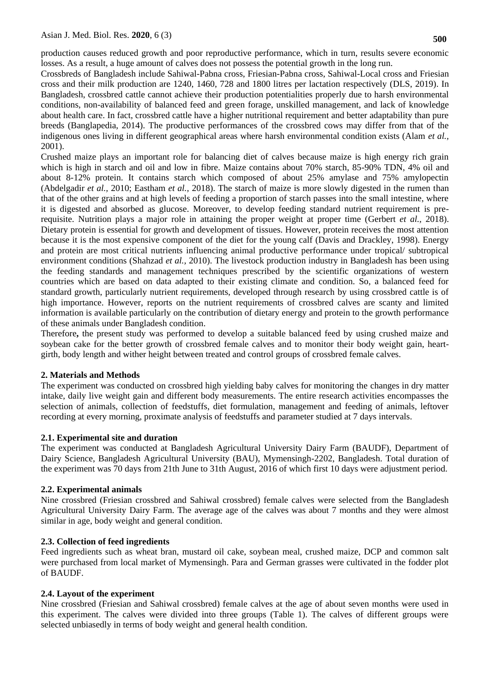production causes reduced growth and poor reproductive performance, which in turn, results severe economic losses. As a result, a huge amount of calves does not possess the potential growth in the long run.

Crossbreds of Bangladesh include Sahiwal-Pabna cross, Friesian-Pabna cross, Sahiwal-Local cross and Friesian cross and their milk production are 1240, 1460, 728 and 1800 litres per lactation respectively (DLS, 2019). In Bangladesh, crossbred cattle cannot achieve their production potentialities properly due to harsh environmental conditions, non-availability of balanced feed and green forage, unskilled management, and lack of knowledge about health care. In fact, crossbred cattle have a higher nutritional requirement and better adaptability than pure breeds (Banglapedia, 2014). The productive performances of the crossbred cows may differ from that of the indigenous ones living in different geographical areas where harsh environmental condition exists (Alam *et al.,* 2001).

Crushed maize plays an important role for balancing diet of calves because maize is high energy rich grain which is high in starch and oil and low in fibre. Maize contains about 70% starch, 85-90% TDN, 4% oil and about 8-12% protein. It contains starch which composed of about 25% amylase and 75% amylopectin (Abdelgadir *et al.,* 2010; Eastham *et al.,* 2018). The starch of maize is more slowly digested in the rumen than that of the other grains and at high levels of feeding a proportion of starch passes into the small intestine, where it is digested and absorbed as glucose. Moreover, to develop feeding standard nutrient requirement is prerequisite. Nutrition plays a major role in attaining the proper weight at proper time (Gerbert *et al.,* 2018). Dietary protein is essential for growth and development of tissues. However, protein receives the most attention because it is the most expensive component of the diet for the young calf (Davis and Drackley, 1998). Energy and protein are most critical nutrients influencing animal productive performance under tropical/ subtropical environment conditions (Shahzad *et al.,* 2010). The livestock production industry in Bangladesh has been using the feeding standards and management techniques prescribed by the scientific organizations of western countries which are based on data adapted to their existing climate and condition. So, a balanced feed for standard growth, particularly nutrient requirements, developed through research by using crossbred cattle is of high importance. However, reports on the nutrient requirements of crossbred calves are scanty and limited information is available particularly on the contribution of dietary energy and protein to the growth performance of these animals under Bangladesh condition.

Therefore**,** the present study was performed to develop a suitable balanced feed by using crushed maize and soybean cake for the better growth of crossbred female calves and to monitor their body weight gain, heartgirth, body length and wither height between treated and control groups of crossbred female calves.

# **2. Materials and Methods**

The experiment was conducted on crossbred high yielding baby calves for monitoring the changes in dry matter intake, daily live weight gain and different body measurements. The entire research activities encompasses the selection of animals, collection of feedstuffs, diet formulation, management and feeding of animals, leftover recording at every morning, proximate analysis of feedstuffs and parameter studied at 7 days intervals.

### **2.1. Experimental site and duration**

The experiment was conducted at Bangladesh Agricultural University Dairy Farm (BAUDF), Department of Dairy Science, Bangladesh Agricultural University (BAU), Mymensingh-2202, Bangladesh. Total duration of the experiment was 70 days from 21th June to 31th August, 2016 of which first 10 days were adjustment period.

### **2.2. Experimental animals**

Nine crossbred (Friesian crossbred and Sahiwal crossbred) female calves were selected from the Bangladesh Agricultural University Dairy Farm. The average age of the calves was about 7 months and they were almost similar in age, body weight and general condition.

### **2.3. Collection of feed ingredients**

Feed ingredients such as wheat bran, mustard oil cake, soybean meal, crushed maize, DCP and common salt were purchased from local market of Mymensingh. Para and German grasses were cultivated in the fodder plot of BAUDF.

### **2.4. Layout of the experiment**

Nine crossbred (Friesian and Sahiwal crossbred) female calves at the age of about seven months were used in this experiment. The calves were divided into three groups (Table 1). The calves of different groups were selected unbiasedly in terms of body weight and general health condition.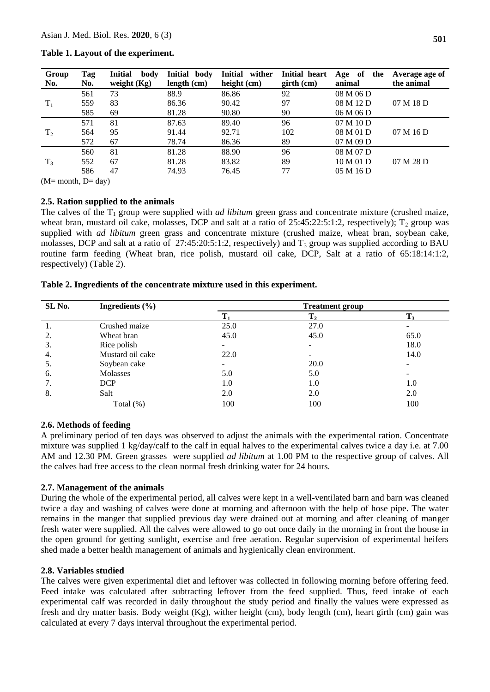| Group          | Tag | <b>Initial</b><br>body | Initial body  | Initial wither | Initial heart | Age of<br>the | Average age of |
|----------------|-----|------------------------|---------------|----------------|---------------|---------------|----------------|
| No.            | No. | weight $(Kg)$          | length $(cm)$ | height (cm)    | $girth$ (cm)  | animal        | the animal     |
|                | 561 | 73                     | 88.9          | 86.86          | 92            | 08 M 06 D     |                |
| $T_1$          | 559 | 83                     | 86.36         | 90.42          | 97            | 08 M 12 D     | 07 M 18 D      |
|                | 585 | 69                     | 81.28         | 90.80          | 90            | 06 M 06 D     |                |
|                | 571 | 81                     | 87.63         | 89.40          | 96            | 07M10D        |                |
| T <sub>2</sub> | 564 | 95                     | 91.44         | 92.71          | 102           | 08 M 01 D     | 07 M 16 D      |
|                | 572 | 67                     | 78.74         | 86.36          | 89            | 07 M 09 D     |                |
|                | 560 | 81                     | 81.28         | 88.90          | 96            | 08 M 07 D     |                |
| $T_3$          | 552 | 67                     | 81.28         | 83.82          | 89            | 10 M 01 D     | 07 M 28 D      |
|                | 586 | 47                     | 74.93         | 76.45          | 77            | 05 M 16 D     |                |

### **Table 1. Layout of the experiment.**

 $(M=$  month,  $D=$  day)

### **2.5. Ration supplied to the animals**

The calves of the  $T_1$  group were supplied with *ad libitum* green grass and concentrate mixture (crushed maize, wheat bran, mustard oil cake, molasses, DCP and salt at a ratio of  $25:45:22:5:1:2$ , respectively);  $T_2$  group was supplied with *ad libitum* green grass and concentrate mixture (crushed maize, wheat bran, soybean cake, molasses, DCP and salt at a ratio of  $27:45:20:5:1:2$ , respectively) and  $T_3$  group was supplied according to BAU routine farm feeding (Wheat bran, rice polish, mustard oil cake, DCP, Salt at a ratio of 65:18:14:1:2, respectively) (Table 2).

#### **Table 2. Ingredients of the concentrate mixture used in this experiment.**

| SL No. | Ingredients $(\% )$ |                          | <b>Treatment group</b> |       |  |  |
|--------|---------------------|--------------------------|------------------------|-------|--|--|
|        |                     |                          | $T_{2}$                | $T_3$ |  |  |
|        | Crushed maize       | 25.0                     | 27.0                   |       |  |  |
| 2.     | Wheat bran          | 45.0                     | 45.0                   | 65.0  |  |  |
| 3.     | Rice polish         | $\overline{\phantom{0}}$ | $\sim$                 | 18.0  |  |  |
| 4.     | Mustard oil cake    | 22.0                     |                        | 14.0  |  |  |
| 5.     | Soybean cake        | -                        | 20.0                   |       |  |  |
| 6.     | Molasses            | 5.0                      | 5.0                    |       |  |  |
| 7.     | <b>DCP</b>          | 1.0                      | 1.0                    | 1.0   |  |  |
| 8.     | Salt                | 2.0                      | 2.0                    | 2.0   |  |  |
|        | Total $(\%)$        | 100                      | 100                    | 100   |  |  |

### **2.6. Methods of feeding**

A preliminary period of ten days was observed to adjust the animals with the experimental ration. Concentrate mixture was supplied 1 kg/day/calf to the calf in equal halves to the experimental calves twice a day i.e. at 7.00 AM and 12.30 PM. Green grasses were supplied *ad libitum* at 1.00 PM to the respective group of calves. All the calves had free access to the clean normal fresh drinking water for 24 hours.

### **2.7. Management of the animals**

During the whole of the experimental period, all calves were kept in a well-ventilated barn and barn was cleaned twice a day and washing of calves were done at morning and afternoon with the help of hose pipe. The water remains in the manger that supplied previous day were drained out at morning and after cleaning of manger fresh water were supplied. All the calves were allowed to go out once daily in the morning in front the house in the open ground for getting sunlight, exercise and free aeration. Regular supervision of experimental heifers shed made a better health management of animals and hygienically clean environment.

#### **2.8. Variables studied**

The calves were given experimental diet and leftover was collected in following morning before offering feed. Feed intake was calculated after subtracting leftover from the feed supplied. Thus, feed intake of each experimental calf was recorded in daily throughout the study period and finally the values were expressed as fresh and dry matter basis. Body weight (Kg), wither height (cm), body length (cm), heart girth (cm) gain was calculated at every 7 days interval throughout the experimental period.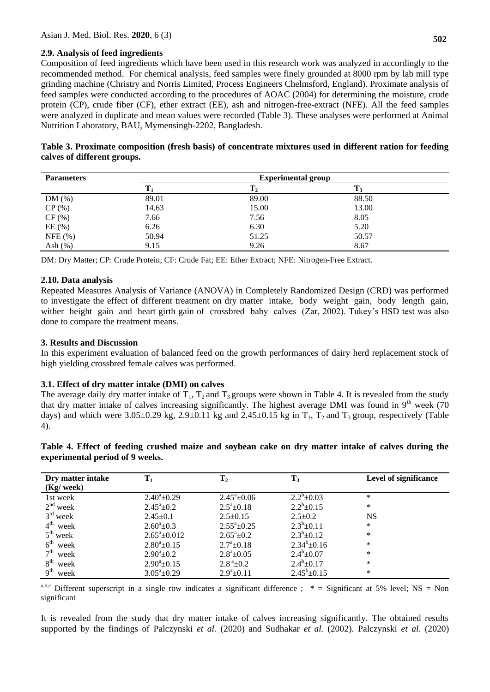### **2.9. Analysis of feed ingredients**

Composition of feed ingredients which have been used in this research work was analyzed in accordingly to the recommended method. For chemical analysis, feed samples were finely grounded at 8000 rpm by lab mill type grinding machine (Christry and Norris Limited, Process Engineers Chelmsford, England). Proximate analysis of feed samples were conducted according to the procedures of AOAC (2004) for determining the moisture, crude protein (CP), crude fiber (CF), ether extract (EE), ash and nitrogen-free-extract (NFE). All the feed samples were analyzed in duplicate and mean values were recorded (Table 3). These analyses were performed at Animal Nutrition Laboratory, BAU, Mymensingh-2202, Bangladesh.

| Table 3. Proximate composition (fresh basis) of concentrate mixtures used in different ration for feeding |  |  |  |  |
|-----------------------------------------------------------------------------------------------------------|--|--|--|--|
| calves of different groups.                                                                               |  |  |  |  |

| <b>Parameters</b> | <b>Experimental group</b> |       |       |  |  |  |
|-------------------|---------------------------|-------|-------|--|--|--|
|                   |                           |       |       |  |  |  |
| DM(%)             | 89.01                     | 89.00 | 88.50 |  |  |  |
| CP(%)             | 14.63                     | 15.00 | 13.00 |  |  |  |
| CF(%)             | 7.66                      | 7.56  | 8.05  |  |  |  |
| EE(%)             | 6.26                      | 6.30  | 5.20  |  |  |  |
| NFE $(%)$         | 50.94                     | 51.25 | 50.57 |  |  |  |
| Ash $(\%)$        | 9.15                      | 9.26  | 8.67  |  |  |  |

DM: Dry Matter; CP: Crude Protein; CF: Crude Fat; EE: Ether Extract; NFE: Nitrogen-Free Extract.

### **2.10. Data analysis**

Repeated Measures Analysis of Variance (ANOVA) in Completely Randomized Design (CRD) was performed to investigate the effect of different treatment on dry matter intake, body weight gain, body length gain, wither height gain and heart girth gain of crossbred baby calves (Zar, 2002). Tukey's HSD test was also done to compare the treatment means.

### **3. Results and Discussion**

In this experiment evaluation of balanced feed on the growth performances of dairy herd replacement stock of high yielding crossbred female calves was performed.

### **3.1. Effect of dry matter intake (DMI) on calves**

The average daily dry matter intake of  $T_1$ ,  $T_2$  and  $T_3$  groups were shown in Table 4. It is revealed from the study that dry matter intake of calves increasing significantly. The highest average DMI was found in  $9<sup>th</sup>$  week (70) days) and which were  $3.05\pm0.29$  kg,  $2.9\pm0.11$  kg and  $2.45\pm0.15$  kg in T<sub>1</sub>, T<sub>2</sub> and T<sub>3</sub> group, respectively (Table 4).

|  | Table 4. Effect of feeding crushed maize and soybean cake on dry matter intake of calves during the |  |  |  |  |  |  |  |
|--|-----------------------------------------------------------------------------------------------------|--|--|--|--|--|--|--|
|  | experimental period of 9 weeks.                                                                     |  |  |  |  |  |  |  |

| Dry matter intake<br>$(Kg$ / week) | $\mathbf{T}_1$        | $\mathbf{T}_2$        | $T_3$               | Level of significance |
|------------------------------------|-----------------------|-----------------------|---------------------|-----------------------|
| 1st week                           | $2.40^{\circ}$ ±0.29  | $2.45^{\circ}$ ±0.06  | $2.2^b \pm 0.03$    | $\ast$                |
| $2nd$ week                         | $2.45^{\circ}$ ±0.2   | $2.5^a \pm 0.18$      | $2.2^b \pm 0.15$    | $\ast$                |
| $3rd$ week                         | $2.45 \pm 0.1$        | $2.5 \pm 0.15$        | $2.5 \pm 0.2$       | <b>NS</b>             |
| $4th$ week                         | $2.60^{\circ}$ + 0.3  | $2.55^{\circ}+0.25$   | $2.3^b \pm 0.11$    | $\ast$                |
| $5th$ week                         | $2.65^{\circ}$ ±0.012 | $2.65^{\circ}$ ±0.2   | $2.3^b \pm 0.12$    | $\ast$                |
| $6th$ week                         | $2.80^a \pm 0.15$     | $2.7^{\circ}$ ±0.18   | $2.34^{b} \pm 0.16$ | $\ast$                |
| 7 <sup>th</sup><br>week            | $2.90^{\circ}$ + 0.2  | $2.8^a \pm 0.05$      | $2.4^b \pm 0.07$    | $\ast$                |
| 8 <sup>th</sup><br>week            | $2.90^a \pm 0.15$     | $2.8^{\degree}\pm0.2$ | $2.4^b \pm 0.17$    | $\ast$                |
| 9 <sup>th</sup><br>week            | $3.05^a \pm 0.29$     | $2.9^a \pm 0.11$      | $2.45^b \pm 0.15$   | $\ast$                |

a,b,c Different superscript in a single row indicates a significant difference ; \* = Significant at 5% level; NS = Non significant

It is revealed from the study that dry matter intake of calves increasing significantly. The obtained results supported by the findings of Palczynski *et al.* (2020) and Sudhakar *et al.* (2002). Palczynski *et al.* (2020)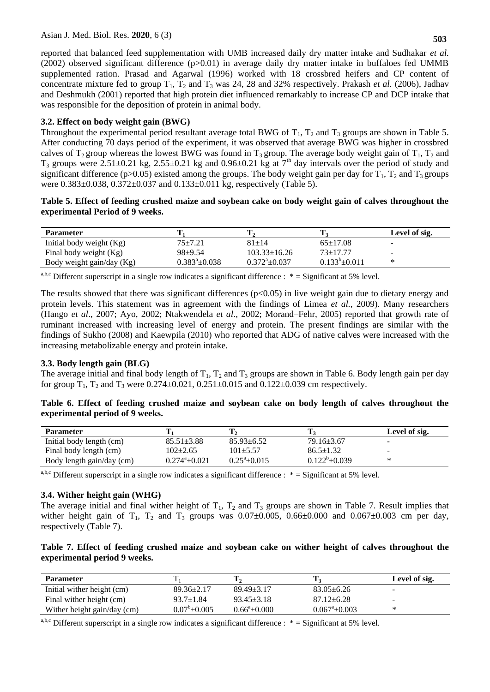reported that balanced feed supplementation with UMB increased daily dry matter intake and Sudhakar *et al.* (2002) observed significant difference (p>0.01) in average daily dry matter intake in buffaloes fed UMMB supplemented ration. Prasad and Agarwal (1996) worked with 18 crossbred heifers and CP content of concentrate mixture fed to group  $T_1$ ,  $T_2$  and  $T_3$  was 24, 28 and 32% respectively. Prakash *et al.* (2006), Jadhav and Deshmukh (2001) reported that high protein diet influenced remarkably to increase CP and DCP intake that was responsible for the deposition of protein in animal body.

# **3.2. Effect on body weight gain (BWG)**

Throughout the experimental period resultant average total BWG of  $T_1$ ,  $T_2$  and  $T_3$  groups are shown in Table 5. After conducting 70 days period of the experiment, it was observed that average BWG was higher in crossbred calves of  $T_2$  group whereas the lowest BWG was found in  $T_3$  group. The average body weight gain of  $T_1$ ,  $T_2$  and  $T_3$  groups were 2.51±0.21 kg, 2.55±0.21 kg and 0.96±0.21 kg at  $7<sup>th</sup>$  day intervals over the period of study and significant difference (p>0.05) existed among the groups. The body weight gain per day for  $T_1$ ,  $T_2$  and  $T_3$  groups were  $0.383 \pm 0.038$ ,  $0.372 \pm 0.037$  and  $0.133 \pm 0.011$  kg, respectively (Table 5).

### **Table 5. Effect of feeding crushed maize and soybean cake on body weight gain of calves throughout the experimental Period of 9 weeks.**

| <b>Parameter</b>           |                     |                              |                     | Level of sig. |
|----------------------------|---------------------|------------------------------|---------------------|---------------|
| Initial body weight $(Kg)$ | $75 + 7.21$         | $81 + 14$                    | $65+17.08$          | -             |
| Final body weight (Kg)     | $98+9.54$           | $103.33 \pm 16.26$           | $73+17.77$          | $\sim$        |
| Body weight gain/day (Kg)  | $0.383^a \pm 0.038$ | $0.372^{\mathrm{a}}$ + 0.037 | $0.133^b \pm 0.011$ | ∗             |

a,b,c Different superscript in a single row indicates a significant difference :  $* =$  Significant at 5% level.

The results showed that there was significant differences  $(p<0.05)$  in live weight gain due to dietary energy and protein levels. This statement was in agreement with the findings of Limea *et al.,* 2009). Many researchers (Hango *et al*., 2007; Ayo, 2002; Ntakwendela *et al*., 2002; Morand–Fehr, 2005) reported that growth rate of ruminant increased with increasing level of energy and protein. The present findings are similar with the findings of Sukho (2008) and Kaewpila (2010) who reported that ADG of native calves were increased with the increasing metabolizable energy and protein intake.

### **3.3. Body length gain (BLG)**

The average initial and final body length of  $T_1$ ,  $T_2$  and  $T_3$  groups are shown in Table 6. Body length gain per day for group  $T_1$ ,  $T_2$  and  $T_3$  were 0.274 $\pm$ 0.021, 0.251 $\pm$ 0.015 and 0.122 $\pm$ 0.039 cm respectively.

### **Table 6. Effect of feeding crushed maize and soybean cake on body length of calves throughout the experimental period of 9 weeks.**

| <b>Parameter</b>          |                         |                        |                     | Level of sig. |
|---------------------------|-------------------------|------------------------|---------------------|---------------|
| Initial body length (cm)  | $85.51 \pm 3.88$        | $85.93 \pm 6.52$       | $79.16 \pm 3.67$    | -             |
| Final body length (cm)    | 102±2.65                | $101\pm5.57$           | $86.5 \pm 1.32$     | $\sim$        |
| Body length gain/day (cm) | $0.274^{\circ}$ ± 0.021 | $0.25^{\circ}$ + 0.015 | $0.122^b \pm 0.039$ | ∗             |

<sup>a,b,c</sup> Different superscript in a single row indicates a significant difference :  $* =$  Significant at 5% level.

# **3.4. Wither height gain (WHG)**

The average initial and final wither height of  $T_1$ ,  $T_2$  and  $T_3$  groups are shown in Table 7. Result implies that wither height gain of  $T_1$ ,  $T_2$  and  $T_3$  groups was 0.07 $\pm$ 0.005, 0.66 $\pm$ 0.000 and 0.067 $\pm$ 0.003 cm per day, respectively (Table 7).

### **Table 7. Effect of feeding crushed maize and soybean cake on wither height of calves throughout the experimental period 9 weeks.**

| <b>Parameter</b>            |                    |                    | л.                     | Level of sig.            |
|-----------------------------|--------------------|--------------------|------------------------|--------------------------|
| Initial wither height (cm)  | $89.36 \pm 2.17$   | $89.49 \pm 3.17$   | $83.05 \pm 6.26$       | ۰                        |
| Final wither height (cm)    | $93.7 \pm 1.84$    | $93.45 \pm 3.18$   | $87.12 \pm 6.28$       | $\overline{\phantom{a}}$ |
| Wither height gain/day (cm) | $0.07^b \pm 0.005$ | $0.66^a \pm 0.000$ | $0.067^{\circ}$ ±0.003 |                          |

a,b,c Different superscript in a single row indicates a significant difference :  $* =$  Significant at 5% level.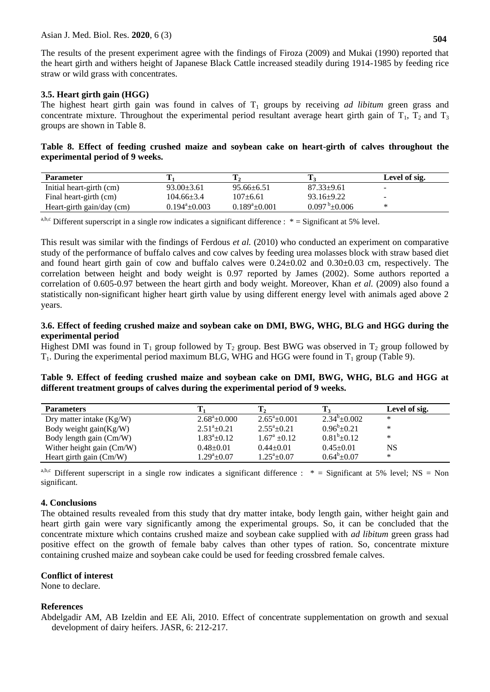The results of the present experiment agree with the findings of Firoza (2009) and Mukai (1990) reported that the heart girth and withers height of Japanese Black Cattle increased steadily during 1914-1985 by feeding rice straw or wild grass with concentrates.

### **3.5. Heart girth gain (HGG)**

The highest heart girth gain was found in calves of  $T_1$  groups by receiving *ad libitum* green grass and concentrate mixture. Throughout the experimental period resultant average heart girth gain of  $T_1$ ,  $T_2$  and  $T_3$ groups are shown in Table 8.

### **Table 8. Effect of feeding crushed maize and soybean cake on heart-girth of calves throughout the experimental period of 9 weeks.**

| <b>Parameter</b>          |                        |                     |                               | Level of sig. |
|---------------------------|------------------------|---------------------|-------------------------------|---------------|
| Initial heart-girth (cm)  | $93.00 \pm 3.61$       | $95.66 \pm 6.51$    | $87.33 \pm 9.61$              | -             |
| Final heart-girth (cm)    | 104.66±3.4             | $107+6.61$          | $93.16 \pm 9.22$              | -             |
| Heart-girth gain/day (cm) | $0.194^{\circ}$ ±0.003 | $0.189^a \pm 0.001$ | $0.097^{\mathrm{b}}\pm 0.006$ |               |

a,b,c Different superscript in a single row indicates a significant difference :  $* =$  Significant at 5% level.

This result was similar with the findings of Ferdous *et al.* (2010) who conducted an experiment on comparative study of the performance of buffalo calves and cow calves by feeding urea molasses block with straw based diet and found heart girth gain of cow and buffalo calves were 0.24±0.02 and 0.30±0.03 cm, respectively. The correlation between height and body weight is 0.97 reported by James (2002). Some authors reported a correlation of 0.605-0.97 between the heart girth and body weight. Moreover, Khan *et al.* (2009) also found a statistically non-significant higher heart girth value by using different energy level with animals aged above 2 years.

### **3.6. Effect of feeding crushed maize and soybean cake on DMI, BWG, WHG, BLG and HGG during the experimental period**

Highest DMI was found in  $T_1$  group followed by  $T_2$  group. Best BWG was observed in  $T_2$  group followed by  $T_1$ . During the experimental period maximum BLG, WHG and HGG were found in  $T_1$  group (Table 9).

**Table 9. Effect of feeding crushed maize and soybean cake on DMI, BWG, WHG, BLG and HGG at different treatment groups of calves during the experimental period of 9 weeks.**

| <b>Parameters</b>          |                       |                        | т                      | Level of sig. |
|----------------------------|-----------------------|------------------------|------------------------|---------------|
| Dry matter intake $(Kg/W)$ | $2.68^{\circ}$ ±0.000 | $2.65^{\circ}$ + 0.001 | $2.34^{\circ}$ + 0.002 | ∗             |
| Body weight gain(Kg/W)     | $2.51^a + 0.21$       | $2.55^a \pm 0.21$      | $0.96^{\rm b}$ ± 0.21  | $\ast$        |
| Body length gain (Cm/W)    | $1.83^a \pm 0.12$     | $1.67^{\rm a}$ +0.12   | $0.81^b \pm 0.12$      | ∗             |
| Wither height gain (Cm/W)  | $0.48 \pm 0.01$       | $0.44 \pm 0.01$        | $0.45 \pm 0.01$        | NS            |
| Heart girth gain $(Cm/W)$  | $1.29^a \pm 0.07$     | $1.25^a \pm 0.07$      | $0.64^b \pm 0.07$      | ∗             |

a,b,c Different superscript in a single row indicates a significant difference : \* = Significant at 5% level; NS = Non significant.

# **4. Conclusions**

The obtained results revealed from this study that dry matter intake, body length gain, wither height gain and heart girth gain were vary significantly among the experimental groups. So, it can be concluded that the concentrate mixture which contains crushed maize and soybean cake supplied with *ad libitum* green grass had positive effect on the growth of female baby calves than other types of ration. So, concentrate mixture containing crushed maize and soybean cake could be used for feeding crossbred female calves.

### **Conflict of interest**

None to declare.

### **References**

Abdelgadir AM, AB Izeldin and EE Ali, 2010. Effect of concentrate supplementation on growth and sexual development of dairy heifers. JASR, 6: 212-217.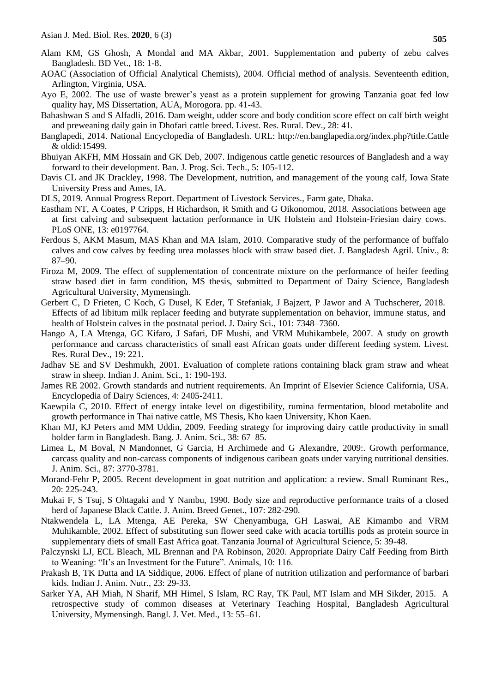- Alam KM, GS Ghosh, A Mondal and MA Akbar, 2001. Supplementation and puberty of zebu calves Bangladesh. BD Vet., 18: 1-8.
- AOAC (Association of Official Analytical Chemists), 2004. Official method of analysis. Seventeenth edition, Arlington, Virginia, USA.
- Ayo E, 2002. The use of waste brewer's yeast as a protein supplement for growing Tanzania goat fed low quality hay, MS Dissertation, AUA, Morogora. pp. 41-43.
- Bahashwan S and S Alfadli, 2016. Dam weight, udder score and body condition score effect on calf birth weight and preweaning daily gain in Dhofari cattle breed. Livest. Res. Rural. Dev., 28: 41.
- Banglapedi, 2014. National Encyclopedia of Bangladesh. URL: [http://en.banglapedia.org/index.php?title.Cattle](http://en.banglapedia.org/index.php?title.Cattle%20&%20oldid:15499)  [& oldid:15499.](http://en.banglapedia.org/index.php?title.Cattle%20&%20oldid:15499)
- Bhuiyan AKFH, MM Hossain and GK Deb, 2007. Indigenous cattle genetic resources of Bangladesh and a way forward to their development. Ban. J. Prog. Sci. Tech., 5: 105-112.
- Davis CL and JK Drackley, 1998. The Development, nutrition, and management of the young calf, Iowa State University Press and Ames, IA.
- DLS, 2019. Annual Progress Report. Department of Livestock Services., Farm gate, Dhaka.
- Eastham NT, A Coates, P Cripps, H Richardson, R Smith and G Oikonomou, 2018. Associations between age at first calving and subsequent lactation performance in UK Holstein and Holstein-Friesian dairy cows. PLoS ONE, 13: e0197764.
- Ferdous S, AKM Masum, MAS Khan and MA Islam, 2010. Comparative study of the performance of buffalo calves and cow calves by feeding urea molasses block with straw based diet. J. Bangladesh Agril. Univ., 8: 87–90.
- Firoza M, 2009. The effect of supplementation of concentrate mixture on the performance of heifer feeding straw based diet in farm condition, MS thesis, submitted to Department of Dairy Science, Bangladesh Agricultural University, Mymensingh.
- Gerbert C, D Frieten, C Koch, G Dusel, K Eder, T Stefaniak, J Bajzert, P Jawor and A Tuchscherer, 2018. Effects of ad libitum milk replacer feeding and butyrate supplementation on behavior, immune status, and health of Holstein calves in the postnatal period. J. Dairy Sci., 101: 7348–7360.
- Hango A, LA Mtenga, GC Kifaro, J Safari, DF Mushi, and VRM Muhikambele, 2007. A study on growth performance and carcass characteristics of small east African goats under different feeding system. Livest. Res. Rural Dev., 19: 221.
- Jadhav SE and SV Deshmukh, 2001. Evaluation of complete rations containing black gram straw and wheat straw in sheep. Indian J. Anim. Sci., 1: 190-193.
- James RE 2002. Growth standards and nutrient requirements. An Imprint of Elsevier Science California, USA. Encyclopedia of Dairy Sciences, 4: 2405-2411.
- Kaewpila C, 2010. Effect of energy intake level on digestibility, rumina fermentation, blood metabolite and growth performance in Thai native cattle, MS Thesis, Kho kaen University, Khon Kaen.
- Khan MJ, KJ Peters amd MM Uddin, 2009. Feeding strategy for improving dairy cattle productivity in small holder farm in Bangladesh. Bang. J. Anim. Sci., 38: 67–85.
- Limea L, M Boval, N Mandonnet, G Garcia, H Archimede and G Alexandre, 2009:. Growth performance, carcass quality and non-carcass components of indigenous caribean goats under varying nutritional densities. J. Anim. Sci., 87: 3770-3781.
- Morand-Fehr P, 2005. Recent development in goat nutrition and application: a review. Small Ruminant Res., 20: 225-243.
- Mukai F, S Tsuj, S Ohtagaki and Y Nambu, 1990. Body size and reproductive performance traits of a closed herd of Japanese Black Cattle. J. Anim. Breed Genet., 107: 282-290.
- Ntakwendela L, LA Mtenga, AE Pereka, SW Chenyambuga, GH Laswai, AE Kimambo and VRM Muhikamble, 2002. Effect of substituting sun flower seed cake with acacia tortillis pods as protein source in supplementary diets of small East Africa goat. Tanzania Journal of Agricultural Science, 5: 39-48.
- Palczynski LJ, ECL Bleach, ML Brennan and PA Robinson, 2020. Appropriate Dairy Calf Feeding from Birth to Weaning: "It's an Investment for the Future". Animals, 10: 116.
- Prakash B, TK Dutta and IA Siddique, 2006. Effect of plane of nutrition utilization and performance of barbari kids. Indian J. Anim. Nutr., 23: 29-33.
- Sarker YA, AH Miah, N Sharif, MH Himel, S Islam, RC Ray, TK Paul, MT Islam and MH Sikder, 2015. A retrospective study of common diseases at Veterinary Teaching Hospital, Bangladesh Agricultural University, Mymensingh. Bangl. J. Vet. Med., 13: 55–61.